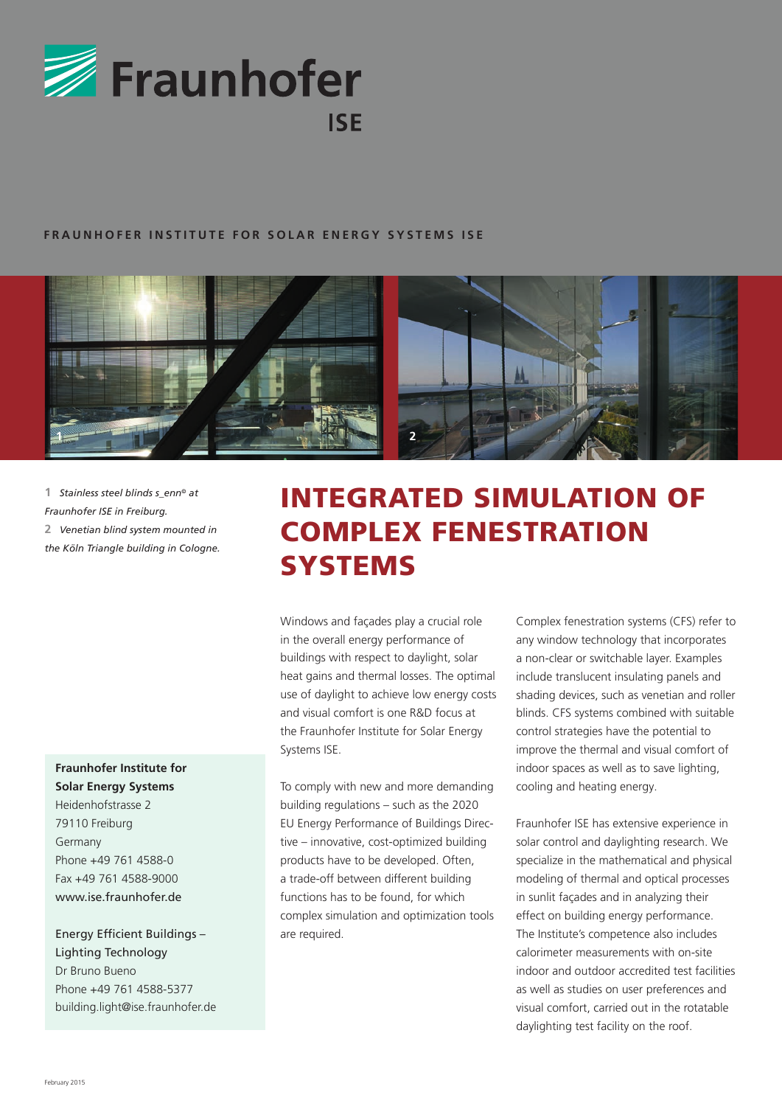

### **FRAUNHOFER INSTITUTE FOR SOLAR ENERGY SYSTEMS ISE**



**1** *Stainless steel blinds s\_enn© at Fraunhofer ISE in Freiburg.* **2** *Venetian blind system mounted in the Köln Triangle building in Cologne.* 

## **Fraunhofer Institute for Solar Energy Systems**

Heidenhofstrasse 2 79110 Freiburg Germany Phone +49 761 4588-0 Fax +49 761 4588-9000 www.ise.fraunhofer.de

Energy Efficient Buildings – Lighting Technology Dr Bruno Bueno Phone +49 761 4588-5377 building.light@ise.fraunhofer.de

# Integrated Simulation of Complex Fenestration **SYSTEMS**

Windows and façades play a crucial role in the overall energy performance of buildings with respect to daylight, solar heat gains and thermal losses. The optimal use of daylight to achieve low energy costs and visual comfort is one R&D focus at the Fraunhofer Institute for Solar Energy Systems ISE.

To comply with new and more demanding building regulations – such as the 2020 EU Energy Performance of Buildings Directive – innovative, cost-optimized building products have to be developed. Often, a trade-off between different building functions has to be found, for which complex simulation and optimization tools are required.

Complex fenestration systems (CFS) refer to any window technology that incorporates a non-clear or switchable layer. Examples include translucent insulating panels and shading devices, such as venetian and roller blinds. CFS systems combined with suitable control strategies have the potential to improve the thermal and visual comfort of indoor spaces as well as to save lighting, cooling and heating energy.

Fraunhofer ISE has extensive experience in solar control and daylighting research. We specialize in the mathematical and physical modeling of thermal and optical processes in sunlit façades and in analyzing their effect on building energy performance. The Institute's competence also includes calorimeter measurements with on-site indoor and outdoor accredited test facilities as well as studies on user preferences and visual comfort, carried out in the rotatable daylighting test facility on the roof.